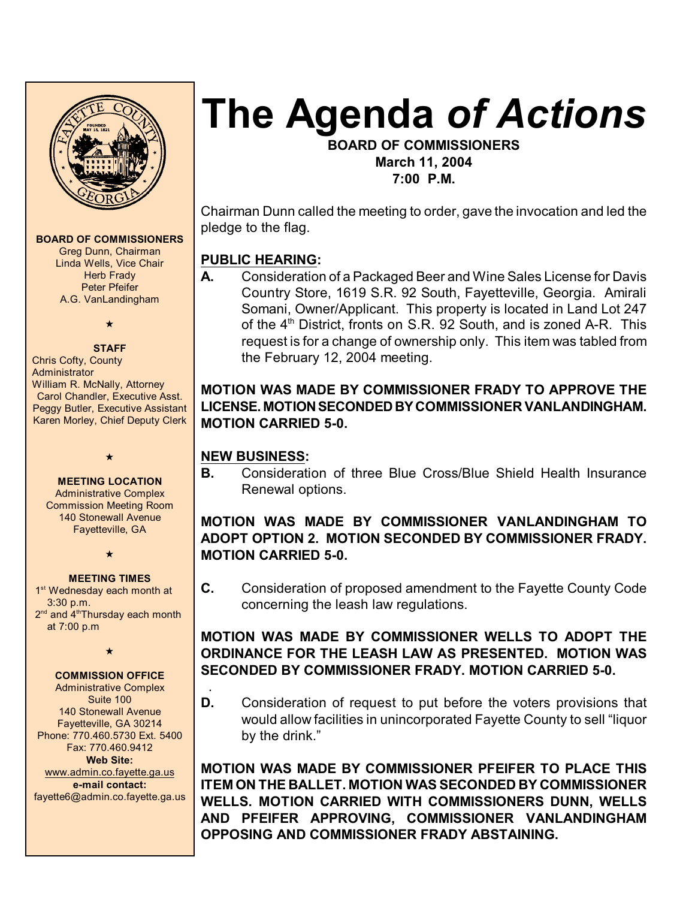

**BOARD OF COMMISSIONERS**

Greg Dunn, Chairman Linda Wells, Vice Chair **Herb Frady** Peter Pfeifer A.G. VanLandingham

 $\star$ 

#### **STAFF**

Chris Cofty, County **Administrator** William R. McNally, Attorney Carol Chandler, Executive Asst. Peggy Butler, Executive Assistant Karen Morley, Chief Deputy Clerk

### **MEETING LOCATION**

 $\star$ 

Administrative Complex Commission Meeting Room 140 Stonewall Avenue Fayetteville, GA

 $\star$ 

#### **MEETING TIMES**

1<sup>st</sup> Wednesday each month at 3:30 p.m. 2<sup>nd</sup> and 4<sup>th</sup>Thursday each month at 7:00 p.m

 $\star$ 

# **COMMISSION OFFICE**

Administrative Complex Suite 100 140 Stonewall Avenue Fayetteville, GA 30214 Phone: 770.460.5730 Ext. 5400 Fax: 770.460.9412 **Web Site:** [www.admin.co.fayette.ga.us](http://www.admin.co.fayette.ga.us) **e-mail contact:** fayette6@admin.co.fayette.ga.us

# **The Agenda** *of Actions*

**BOARD OF COMMISSIONERS March 11, 2004 7:00 P.M.**

Chairman Dunn called the meeting to order, gave the invocation and led the pledge to the flag.

# **PUBLIC HEARING:**

**A.** Consideration of a Packaged Beer and Wine Sales License for Davis Country Store, 1619 S.R. 92 South, Fayetteville, Georgia. Amirali Somani, Owner/Applicant. This property is located in Land Lot 247 of the 4<sup>th</sup> District, fronts on S.R. 92 South, and is zoned A-R. This request is for a change of ownership only. This item was tabled from the February 12, 2004 meeting.

# **MOTION WAS MADE BY COMMISSIONER FRADY TO APPROVE THE LICENSE. MOTION SECONDED BY COMMISSIONER VANLANDINGHAM. MOTION CARRIED 5-0.**

# **NEW BUSINESS:**

**B.** Consideration of three Blue Cross/Blue Shield Health Insurance Renewal options.

# **MOTION WAS MADE BY COMMISSIONER VANLANDINGHAM TO ADOPT OPTION 2. MOTION SECONDED BY COMMISSIONER FRADY. MOTION CARRIED 5-0.**

**C.** Consideration of proposed amendment to the Fayette County Code concerning the leash law regulations.

# **MOTION WAS MADE BY COMMISSIONER WELLS TO ADOPT THE ORDINANCE FOR THE LEASH LAW AS PRESENTED. MOTION WAS SECONDED BY COMMISSIONER FRADY. MOTION CARRIED 5-0.**

 . **D.** Consideration of request to put before the voters provisions that would allow facilities in unincorporated Fayette County to sell "liquor by the drink."

**MOTION WAS MADE BY COMMISSIONER PFEIFER TO PLACE THIS ITEM ON THE BALLET. MOTION WAS SECONDED BY COMMISSIONER WELLS. MOTION CARRIED WITH COMMISSIONERS DUNN, WELLS AND PFEIFER APPROVING, COMMISSIONER VANLANDINGHAM OPPOSING AND COMMISSIONER FRADY ABSTAINING.**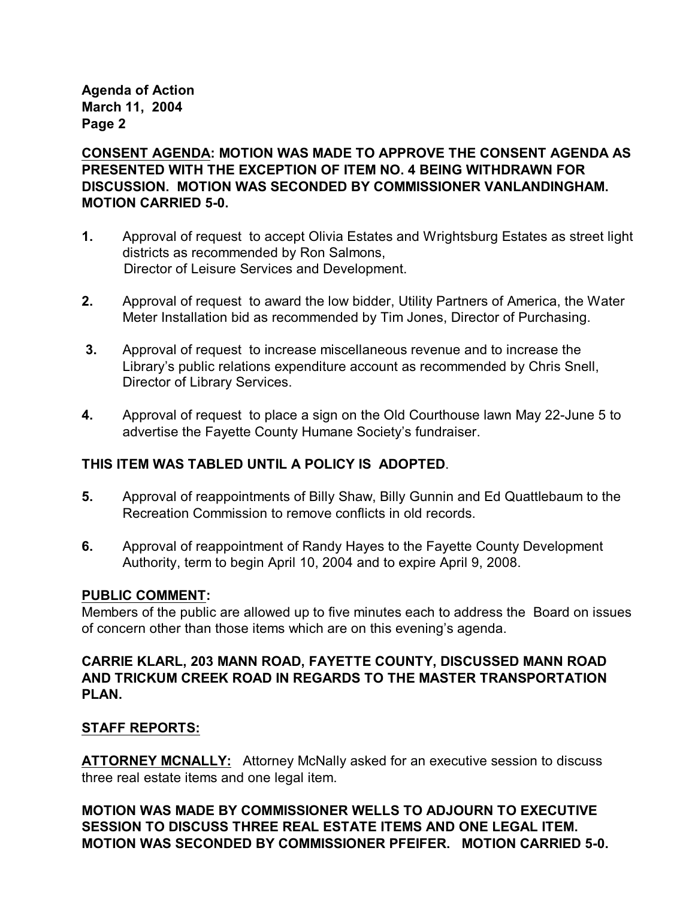**Agenda of Action March 11, 2004 Page 2**

# **CONSENT AGENDA: MOTION WAS MADE TO APPROVE THE CONSENT AGENDA AS PRESENTED WITH THE EXCEPTION OF ITEM NO. 4 BEING WITHDRAWN FOR DISCUSSION. MOTION WAS SECONDED BY COMMISSIONER VANLANDINGHAM. MOTION CARRIED 5-0.**

- **1.** Approval of request to accept Olivia Estates and Wrightsburg Estates as street light districts as recommended by Ron Salmons, Director of Leisure Services and Development.
- **2.** Approval of request to award the low bidder, Utility Partners of America, the Water Meter Installation bid as recommended by Tim Jones, Director of Purchasing.
- **3.** Approval of request to increase miscellaneous revenue and to increase the Library's public relations expenditure account as recommended by Chris Snell, Director of Library Services.
- **4.** Approval of request to place a sign on the Old Courthouse lawn May 22-June 5 to advertise the Fayette County Humane Society's fundraiser.

# **THIS ITEM WAS TABLED UNTIL A POLICY IS ADOPTED**.

- **5.** Approval of reappointments of Billy Shaw, Billy Gunnin and Ed Quattlebaum to the Recreation Commission to remove conflicts in old records.
- **6.** Approval of reappointment of Randy Hayes to the Fayette County Development Authority, term to begin April 10, 2004 and to expire April 9, 2008.

## **PUBLIC COMMENT:**

Members of the public are allowed up to five minutes each to address the Board on issues of concern other than those items which are on this evening's agenda.

# **CARRIE KLARL, 203 MANN ROAD, FAYETTE COUNTY, DISCUSSED MANN ROAD AND TRICKUM CREEK ROAD IN REGARDS TO THE MASTER TRANSPORTATION PLAN.**

# **STAFF REPORTS:**

**ATTORNEY MCNALLY:** Attorney McNally asked for an executive session to discuss three real estate items and one legal item.

**MOTION WAS MADE BY COMMISSIONER WELLS TO ADJOURN TO EXECUTIVE SESSION TO DISCUSS THREE REAL ESTATE ITEMS AND ONE LEGAL ITEM. MOTION WAS SECONDED BY COMMISSIONER PFEIFER. MOTION CARRIED 5-0.**